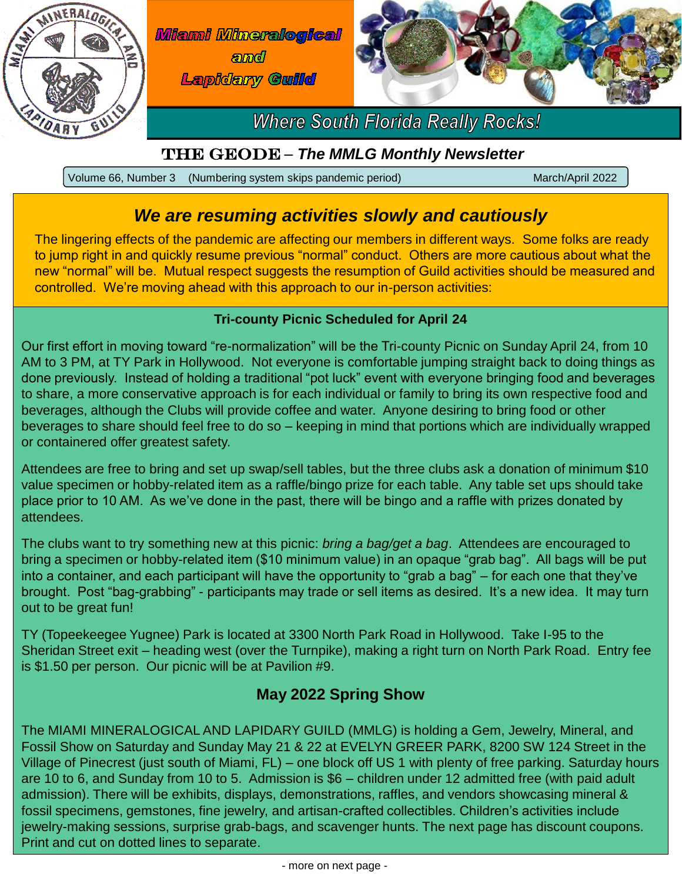

**Miami Mineralogical** *amd* **Lapidary Guilld** 



**Where South Florida Really Rocks!** 

## The Geode – *The MMLG Monthly Newsletter*

Volume 66, Number 3 (Numbering system skips pandemic period) March/April 2022

# *We are resuming activities slowly and cautiously*

The lingering effects of the pandemic are affecting our members in different ways. Some folks are ready to jump right in and quickly resume previous "normal" conduct. Others are more cautious about what the new "normal" will be. Mutual respect suggests the resumption of Guild activities should be measured and controlled. We're moving ahead with this approach to our in-person activities:

### **Tri-county Picnic Scheduled for April 24**

Our first effort in moving toward "re-normalization" will be the Tri-county Picnic on Sunday April 24, from 10 AM to 3 PM, at TY Park in Hollywood. Not everyone is comfortable jumping straight back to doing things as done previously. Instead of holding a traditional "pot luck" event with everyone bringing food and beverages to share, a more conservative approach is for each individual or family to bring its own respective food and beverages, although the Clubs will provide coffee and water. Anyone desiring to bring food or other beverages to share should feel free to do so – keeping in mind that portions which are individually wrapped or containered offer greatest safety.

Attendees are free to bring and set up swap/sell tables, but the three clubs ask a donation of minimum \$10 value specimen or hobby-related item as a raffle/bingo prize for each table. Any table set ups should take place prior to 10 AM. As we've done in the past, there will be bingo and a raffle with prizes donated by attendees.

The clubs want to try something new at this picnic: *bring a bag/get a bag*. Attendees are encouraged to bring a specimen or hobby-related item (\$10 minimum value) in an opaque "grab bag". All bags will be put into a container, and each participant will have the opportunity to "grab a bag" – for each one that they've brought. Post "bag-grabbing" - participants may trade or sell items as desired. It's a new idea. It may turn out to be great fun!

TY (Topeekeegee Yugnee) Park is located at 3300 North Park Road in Hollywood. Take I-95 to the Sheridan Street exit – heading west (over the Turnpike), making a right turn on North Park Road. Entry fee is \$1.50 per person. Our picnic will be at Pavilion #9.

## **May 2022 Spring Show**

The MIAMI MINERALOGICAL AND LAPIDARY GUILD (MMLG) is holding a Gem, Jewelry, Mineral, and Fossil Show on Saturday and Sunday May 21 & 22 at EVELYN GREER PARK, 8200 SW 124 Street in the Village of Pinecrest (just south of Miami, FL) – one block off US 1 with plenty of free parking. Saturday hours are 10 to 6, and Sunday from 10 to 5. Admission is \$6 – children under 12 admitted free (with paid adult admission). There will be exhibits, displays, demonstrations, raffles, and vendors showcasing mineral & fossil specimens, gemstones, fine jewelry, and artisan-crafted collectibles. Children's activities include jewelry-making sessions, surprise grab-bags, and scavenger hunts. The next page has discount coupons. Print and cut on dotted lines to separate.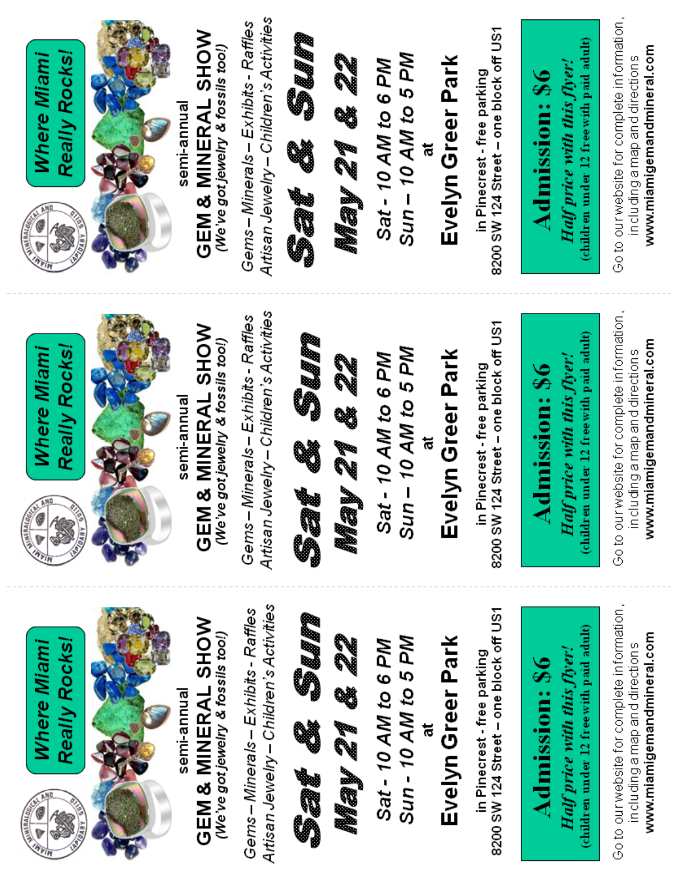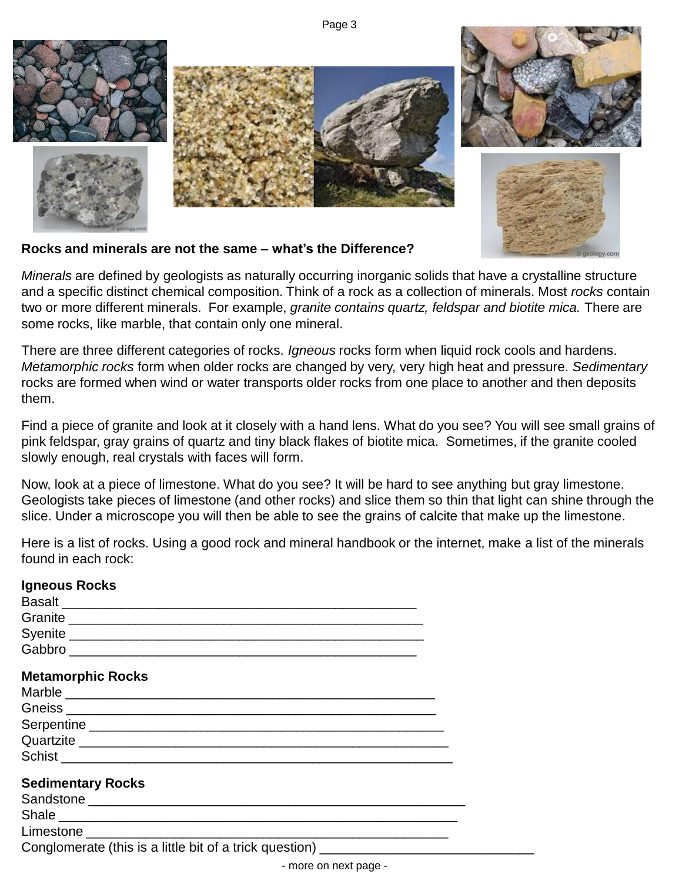Page 3



#### **Rocks and minerals are not the same – what's the Difference?**

*Minerals* are defined by geologists as naturally occurring inorganic solids that have a crystalline structure and a specific distinct chemical composition. Think of a rock as a collection of minerals. Most *rocks* contain two or more different minerals. For example, *granite contains quartz, feldspar and biotite mica.* There are some rocks, like marble, that contain only one mineral.

There are three different categories of rocks. *Igneous* rocks form when liquid rock cools and hardens. *Metamorphic rocks* form when older rocks are changed by very, very high heat and pressure. *Sedimentary*  rocks are formed when wind or water transports older rocks from one place to another and then deposits them.

Find a piece of granite and look at it closely with a hand lens. What do you see? You will see small grains of pink feldspar, gray grains of quartz and tiny black flakes of biotite mica. Sometimes, if the granite cooled slowly enough, real crystals with faces will form.

Now, look at a piece of limestone. What do you see? It will be hard to see anything but gray limestone. Geologists take pieces of limestone (and other rocks) and slice them so thin that light can shine through the slice. Under a microscope you will then be able to see the grains of calcite that make up the limestone.

Here is a list of rocks. Using a good rock and mineral handbook or the internet, make a list of the minerals found in each rock:

| <b>Igneous Rocks</b>                                                             |  |
|----------------------------------------------------------------------------------|--|
|                                                                                  |  |
|                                                                                  |  |
|                                                                                  |  |
|                                                                                  |  |
| <b>Metamorphic Rocks</b>                                                         |  |
|                                                                                  |  |
|                                                                                  |  |
|                                                                                  |  |
| Quartzite                                                                        |  |
|                                                                                  |  |
| <b>Sedimentary Rocks</b>                                                         |  |
|                                                                                  |  |
| Shale                                                                            |  |
|                                                                                  |  |
| Conglomerate (this is a little bit of a trick question) ________________________ |  |